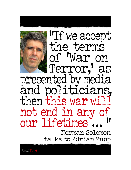

"If we accept the terms of 'War on Terror,' as presented by media and politicians, then this war will not end in any of our lifetimes **!!** 

> Norman Solomon talks to Adrian Zupp

ColdType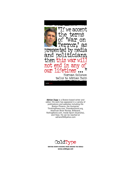

**Adrian Zupp** is a Boston-based writer and editor. His work has appeared in a variety of publications and websites including the Boston Phoenix, the Humanist, ThinkingPeace.com, DissidentVoice.org, American Book Review, Billboard, RollingStone.com, Inside Sport (Australia), and Harp. He can be reached at adrianz59@yahoo.com



**WRITING WORTH READING FROM AROUND THE WORLD www.coldtype.net**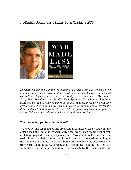

*Norman Solomon is a syndicated columnist on media and politics, as well as founder and executive director of the Institute for Public Accuracy, a national consortium of policy researchers and analysts. His new book, "War Made Easy: How Presidents and Pundits Keep Spinning Us to Death," has been described by the Los Angeles Times as "a must-read for those who would like greater context with their bitter morning coffee, or to arm themselves for the debates about Iraq that are still to come." Writer-journalist Adrian Zupp interviewed Solomon about the book, which was published in July.*

#### **What prompted you to write the book?**

We keep getting scammed by one president after another. And it really hit me during the build-up to the invasion of Iraq that we've been seeing a lot of boilerplate propaganda techniques playing out. Throughout my lifetime, the first real US invasion that I was aware of was in 1965 with the marines landing in the Dominican Republic. I was really bothered, not only by the effectiveness of time-worn, manipulative, propaganda techniques coming out of the Administration and implemented, often seamlessly by the mass media, but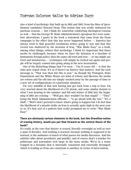also a kind of mythology that built up in 2002 and 2003, from the likes of [presidential candidate] Howard Dean. This notion that was avidly embraced for partisan reasons — but I think for somewhat comforting ideological reasons as well — that the George W. Bush Administration's egregious lies were somehow aberrations. I quote in the book a statement that came from the Dean campaign to the effect that this has never happened before — America has always tried to find peaceful resolutions before going to war and that this record was shattered by the invasion of Iraq. "War Made Easy" as a book, among other things, refutes that mythology. I think it's important that those myths be challenged, because when we have the delusion of a baseline of humanistic foreign policy, then the same old tried and true — or one might say tried and mendacious — techniques will simply be trotted out again and people will be largely conned into going along in the new incarnation.

One of the disturbing things that I've seen  $-$  I'm 53 years old  $-$  is that the slate gets wiped clean. It's as if there's no history that matters. And the tacit message is, "That was then but this is now." As though the Pentagon, State Department and the White House are kind of reborn and likewise the media are reborn and the old sins are simply washed away by the passage of time or a new set of configurations of a particular situation.

I'm very mindful of that now having just got back from a trip to Iran. I'm very worried about the likelihood of a US attack, and some similar denials to what I was hearing in the summer and fall and winter of 2002 into the beginning of 2003 are echoing — "Well gee, they wouldn't be that stupid" — "They" being the Bush Administration officials — "to go ahead with the war." "It's a bluff..." Well I don't pretend to know what's going to happen but I do feel that the likelihood of a missile strike on Iran is actually quite high in the next year or so. It's that sort of a pattern that really prompted me to write "War Made Easy."

### **There are obviously various elements to the book, but this Orwellian notion of erasing history, would you put that forward as the central thesis of the book?**

It's really at the core that history is erased, literally overnight as well as over a span of decades. And nothing is learned, because nothing is *supposed* to be learned, is the ambiance of much of what passes for media discourse. And the subtitle talks about presidents and pundits, and of course that's a marker for politicians and journalists writ large in the mass media. We're in a sense trapped in a dynamic that is internally consistent and externally deranged, which is leading us from one cataclysm to another, in terms of intervention.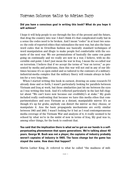### **Did you have a conscious goal in writing this book? What do you hope it will achieve?**

I hope it will help people to see through the lies of the present and the future, that drag the country into war. I don't think it's that complicated really but in a sense the codes need to be broken. And I mean "codes" in at least two senses: the code of reported ethics that rationalizes the next war, but also the buzzword codes that in Orwellian fashion use basically standard techniques of word manipulation and illogic to make people feel comfortable with the scenario of the next war. We see permutations of basically the same con game going on continually and we really are now in a war, I believe, with no discernible end-point. I don't just mean the war in Iraq. I mean the so-called war on terrorism. I believe that if we accept the terms of "war on terror," as presented by media and politicians, then this war will not end in any of our lifetimes because it's so open ended and so tailored to the contours of a militaryindustrial-media complex that the military finery will remain always in fashion for a very long time.

When I started writing this book in earnest, drawing on some research I'd already done and so forth, I wasn't particularly looking for parallels between Vietnam and Iraq at work, but those similarities just hit me between the eyes as I was writing this book. And it's reflected particularly in the last full chapter about "We can't leave now because our credibility's at stake." My goals included really confronting that because we have this media ethos that compartmentalizes and sees Vietnam as a distant, manipulable mirror. It's as though it's up for grabs; anybody can distort the mirror as they choose, or manipulate it. Ana the basic propaganda mechanisms are eerily similar between 1965 and 2005. I wasn't looking for it but as I read contemporaneous media coverage of the Vietnam War and analysis of it, it really seemed to be echoed by what we're in the midst of now in terms of Iraq. My goal was to, among other things, for the book to confront that.

**You said that the implication there is what we've got on our hands is a selfperpetuating phenomenon that spans generations. We're talking about 40 years. George W. Bush was not a player; the captains of industry probably weren't captains of industry in 1965. The faces change but the game has stayed the same. How does that happen?**

Martin Luther King, Jr. referred to what he called "the madness of mili-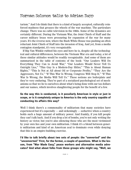tarism." And I do think that there is a kind of largely accepted, culturally reinforced madness that greases the wheels of the war machine. The particulars change. There was no cable television in the 1960s. Some of the dynamics are certainly different. During the Vietnam War, the Joint Chiefs of Staff and the career military brass were pressuring for expansion of the war for many years. It's the reverse now, where the Bush White House was pushing an often reluctant Joint Chiefs of Staff into the invasion of Iraq. And yet, from a media contagion standpoint, it's very recognizable.

If Rip Van Winkle rubbed his eyes and here he is, despite all the technological and cultural differences, between the Vietnam War era and today, a lot of these similar attitudes would be readily recognizable. And some of them are summarized in the table of contents of the book: "Our Leaders Will Do Everything They Can to Avoid War," "Our Leaders Would Never Tell Us Outright Lies," "This Guy Is a Modern-Day Hitler," "This is About Human Rights," "This Is Not at All about Oil or Corporate Profits," "They Are the Aggressors, Not Us," "If This War Is Wrong, Congress Will Stop It," "If This War Is Wrong, the Media Will Tell Us." These notions are boilerplate and they're very enduring. They're part of a socialized psychological set of mechanisms so that we lie to ourselves about what's being done with our tax dollars and our names, which involves slaughtering people for the benefit of a few.

## **So the way this is conducted, is it peculiarly American in style or just in scope, or is it completely unique to America is the only country capable of conducting its affairs this way?**

Well I think there's a commonality of militarism that many societies have experienced but it's especially — and sickeningly — seductive when a country holds such a huge amount of military power. And frankly, if you kill people they can't talk back. And if you drop a lot of bombs, you're not only writing the history as victor, but you're also silencing those who are the most victimized by your own lies and your own militarism. I think it's a blend between generic militarism and kind of an American zeal to dominate even while denying that this is an empire-building exercise.

**I'd like to talk briefly about two sets of people: the "converted" and the "unconverted." First, for the former, a couple of questions. What is the lesson, from "War Made Easy," peace workers and alternative media advocates? And what about folks from these groups who might say, "Well, we**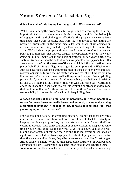### **didn't know all of this but we had the gist of it. What can we do?"**

Well I think naming the propaganda techniques and confronting them is very important. And activism against war in this country could do a lot better job of engaging with, and challenging effectively, the propaganda mechanisms that make these wars possible. Just from the standpoint of debunking the prevalent arguments in the news media for war, those of us engaged in activism — and I certainly include myself — have nothing to be comfortable about. We're losing the propaganda wars. And it's small comfort that we can point to poll numbers that indicate disquiet or opposition to a war. The war's going on and as I point out in the book, it dragged on for years during the Vietnam War even when the polls showed most people were opposed to it... It's a reticence to confront the essence of the war which is inflicting death on people on behalf of a totally illegitimate agenda, being pursued in Washington. And we have these standard techniques that are used to such great effect to restrain opposition to war, that no matter how you feel about how we got into it, now that we're there all these terrible things would happen if we stop killing people. So if you want to be considered reasonable, you'd better not insist on an end to US fueling of the flames of that war. And this has a very restraining effect. I talk about it in the book: "you're undermining our troops" and this and that, and "now that we're there, we have to stay there"  $-$  as if we have a responsibility to the people we're killing to keep killing them.

## **A peace activist put this to me, and I'm paraphrasing: "When people like us are for peace issues or media issues and so forth, are we really having a significant impact?" It sounds to me, if we're talking long run, that you're saying no. Is that correct?**

I'm not critiquing action, I'm critiquing inaction. I think that there are huge effects that we sometimes have and don't even know it. That the activity of keeping the flame going and trying to nurture and build flames, that's an essential process. And I think that most of us feel existential despair at some time or other, but I think it's the only way to go. To be active against the warmaking mechanisms of our society. Nothing that I'm saying in the book or right now is intended to discourage people. I think if people were not active then the wars would be bigger, they'd be more frequent and they'd last longer. And a classic example would be that large demonstrations in October and November of 1969 — even while President Nixon said he was ignoring them we now know that they actually had a restraining effect on what he was doing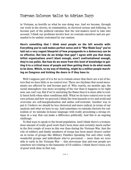in Vietnam, as horrific as what he was doing was. And we become, through our work in the streets, in communities, in electoral arenas and lobbying, we become part of the political calculus that the war-makers need to take into account. I think our problems involve how we restrain ourselves and are persuaded to be unduly restrained by our caution.

**Here's something that I think most people on the left wrestle with: Everything you've said makes perfect sense and in "War Made Easy" you've laid out a very cogent blueprint of how propaganda in a democracy can be so effective. But how do we bridge that gap? I agree with you that many leftist organizations aren't blunt enough, aren't confrontational enough, they're too polite. But how do we move from this level of knowledge to getting it to a critical mass of people and then getting them to do what needs to be done. Which, to my way of thinking, might be a million people marching on Congress and kicking the doors in if they have to.**

Well I suppose part of it is for us to remain aware that there are a lot of factors that we have little or no control over. There are rhythms that social movements are affected by and become part of. Why exactly, six months ago, the social atmosphere was more accepting of the war than it happens to be right now, one can't say. But if we're nurturing the flame then it is more able to really burst forth when other conditions shift. What we do have control over is our own actions and how we proceed; I think the twin hazards to try and avoid and overcome are self-marginalization and undue self-restraint. Another way to put it: I believe we should be less rhetorical and more radical, in terms of our analysis and what we have to say. And sometimes we mistake rhetoric for radicalism or we mistake in-house language with really presenting a strong critique in a way that can make a difference politically. And this is an ongoing challenge.

To find ways to speak to the broad population. And I think there's a tremendous amount of really good work that's been done and certainly much earlier in the first couple of years in this war than during the Vietnam War. Just the role of soldiers and family members of troops has been much clearer earlier on in terms of groups like Military Families Speaking Out and other really wonderful groups and individuals who've prevented — more than we were able to early in the Vietnam War — this stereotype that anti-war people are somehow not relating to the humanity of US soldiers. I think there's been a lot of good work done in that way.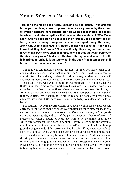**Turning to the media specifically. Speaking as a foreigner, I was amazed in the past — though now I suppose I take it as a given — by the extent to which Americans have bought into this whole belief system and these falsehoods and misconceptions that make up the chapters of "War Made Easy." And it's been built on a foundation of "this is God's country" and so forth, which to many foreigners is a very arrogant thing. But many Americans seem blindsided to it. Noam Chomsky has said that "they don't know that they don't know." Now specifically: Reporting on the current invasion has been more open in Europe, how is it that that can't permeate the American psyche? Is it just effective filtering or is it a sort of selfindoctrination...Why is it that America, in the age of the Internet can still be so resistant to outside messages?**

I think it was Will Rogers who said "It's not what they don't know that bothers me, it's what they know that just ain't so." Deeply held beliefs can be almost intractable and very resistant to other messages. Many Americans, if you showed them the catch-phrase titles of the book chapters, many would say — especially those who were of more liberal mindsets — "Oh I don't believe that!" But in fact in many cases, perhaps a little more subtly stated, those titles do reflect some basic assumptions, when push comes to shove. You know, is America a great and noble superpower? There's a very powerfully held belief that that's true. Even though, if it's stated too boldly people will feel a little embarrassed about it. So there's a constant need to try to undermine the false belief.

The reasons why so many Americans have such a willingness to accept such outrageous militaristic policies out of Washington are multi-factoral. It's in the culture, it's in the mass media environment, it's constant messages from politicians and news outlets, and part of the political economy that reinforces it. I received an email a couple of years ago from a TV columnist of a major American newspaper. He'd read a column I wrote questioning the extreme double standards of how the media use the word "terrorism." I had simply suggested a single standard for terrorism. And he said, "If my newspaper adopted such a standard there would be an uproar from advertisers and many subscribers and it would quickly become a financial disaster." And this is where the simple economics of the corporate system intersects with what we often think of as something quite distinct, which is war propaganda. So when Colin Powell says, as he did on the day of 9/11, we condemn people who are willing to blow up buildings for political ends — well if Osama Bin Laden is a terror-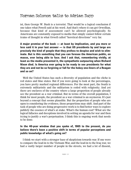ist, then George W. Bush is a terrorist. That would be a logical conclusion if one takes what Powell said at his word. And that's where it can get Orwellian, because that kind of assessment can't be allowed psychologically. So Americans are constantly exposed to media that simply cannot follow certain trains of thought in what Orwell called "heretical directions" very far.

**A major premise of the book — at least by implication, and you more or less said it in your last answer — is that US presidents by and large are precisely the kind of people that they profess to despise and wish to eliminate. But is this something that you can foresee the American public, en masse, ever being able to face. And I ask that, remembering vividly, at least as the media presented it, the sympathetic outpouring when Richard Nixon died. Is America ever going to be ready to see presidents for what they are and not be so forgiving or fall for the hokey one-liners of a Reagan and so on?**

Well the United States has such a diversity of population and the cliche is red states and blue states. But if you were going to look at the percentages, you have pretty marked regional differences. For the most part, the South is extremely militaristic and the militarism is coded with religiosity. And yet there are enclaves of the country where a large proportion of people already see the president as a war criminal. But in terms of the overall population, I think for most people, the president as a war criminal is an oxymoron. It's just beyond a concept that seems plausible. But the proportion of people who are open to considering the evidence, those proportions may shift. And part of the task of people who are doing progressive work is to find better ways to explore publicly the essence of what's at stake. What's the human cost? What are the logical fallacies and deceptions involved in setting an agenda for war and then trying to justify a war's perpetuation. I think this is ongoing work that needs to be done.

## **In the 40-year window that you spoke of, 1965 to the present, do you believe there's been a positive shift in terms of popular perceptions and public knowledge of what's going on?**

I think we start with a stronger base of skepticism towards war. If one were to compare the lead-in to the Vietnam War, and the lead-in to the Iraq war, we had a vastly larger number of people in the streets, we had a lot of dissent,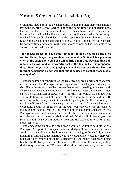even in the media until the invasion of Iraq began and then there was a hiatus for many months. We've learned, but at the same time the militarists have learned too. They're very slick and they've learned to use cable television, for instance. Learned to drive the war train in a way that can deal with the bumps involved from public skepticism. And the capacity of the war planners to navigate some strong public opposition is pretty evident. I mean I'm really struck by how any time a president really wants to go to war, he has been able to do so. And that record remains.

**Your answer raises an issue that I noted in the book. You talk quite a lot — directly and tangentially — about war as reality TV. Which is a phenomenon of the cable age. Could you talk a little about that, because that definitely is a newer and very powerful tool in the tool belt of the propagandists. How do you see that playing out and do you see things like the Internet as perhaps being tools that might be used to combat these media monopolies?**

The embedding of reporters for the Iraq invasion was a brilliant propaganda mechanism. The Pentagon simply flipped over what happened during the Gulf War a dozen years earlier. I remember some nauseating interviews with US troops on television, including on "The NewsHour" with Jim Lehrer — then called the "McNeil-Lehrer NewsHour" — for the Gulf War. So it's not new that you would have this kind of human interest sandwich that is served up with reporting on the carnage, as limited as that reporting is. But there were appreciable media complaints — not very vigorous — but still appreciable media complaints about the limits set on the Gulf War coverage. Just in terms of logistics and access. And so the embedding process implemented by the Pentagon was a way to make grand use of cable television, in particular, and turn the war into a more multi-dimensional TV show. So it wasn't just the briefings and the screened videos of 2001 and the selected interviews at discreet locations...

The embedding gamble, if it was even a gamble, certainly paid off for the Pentagon. And part of it was just their knowledge of how the major networks would turn the entire exercise into a way of pandering to the kind of jingoism and human interest patriotism that was fairly predictable. Naturally there was not really any embedding of US journalists in the homes that were being bombed by US troops, and so it became just this kind of illusionary painting that was splashed across TV screens that reinforced what really is one of the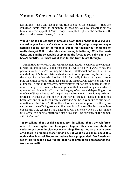key myths — as I talk about in the title of one of the chapters — that the Pentagon fights wars as humanely as possible. And by accentuating the human interest appeal of "our" troops, it simply heightens the contrast with the basically unseen "enemy" troops.

**Would it be fair to say that in breaking down these myths that you've discussed in your book, we're visual creatures...Is it going to require people actually seeing certain horrendous things for themselves for things to really change? Will it take television: seeing is believing. With the presidents and pundits so capable of spinning the facts, as you point out in the book's subtitle, just what will it take for the truth to get through?**

I think that any effective anti-war movement needs to combine the emotional with the intellectual. People respond in a wide variety of ways. What one person may be changed by, may be a totally intellectual argument, with the marshalling of facts and historical evidence. Another person may be moved by the story of a mother who lost her child. I'm really in favor of trying to combine all of that because I think it's part of the picture. And television and visual images, in and of themselves, may reinforce militarism as much as undermine it. I'm pretty convinced by an argument that Susan Sontag made which I quote in "War Made Easy," about the imagery of war — and depending on the mindset of those who see and the political environment — how it may be interpreted as the need to continue with this heroic struggle: "Look at all that has been lost" and "May these people's suffering not be in vain due to our determination for the future." I think there has been an assumption that if only we can convey the suffering from war, that people will be repelled by it enough to oppose the war. We need it all. There's a real deficiency when we just make intellectual arguments, but there's also a real gap if we rely only on the human suffering of war.

**You're talking about social change. Well in talking about the reinforcement of these myths that form your chapter titles, and multi-factoral social forces being in play, obviously things like patriotism are very powerful tools in propping these things up. But what do you think about this notion that Michael Moore and others have propounded: Are Americans too afraid? Is fear a powerful tool that helps prop up this propaganda status quo as well?**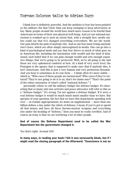I think fear is definitely powerful. And the antidote to fear has been pedaled as the military fist that Uncle Sam can keep swinging to keep adversaries at bay. Many people around the world have much more reason to be fearful than Americans in terms of their own physical well-being. And yet our national narcissism is cranked up to such an extent that, with a straight face, media outlets could say that 9/11 changed everything everywhere. We are the world. Our pain dwarfs the pain of anybody else. And so our fear must trump anybody else's fears, which are often simply unrecognized in media. One can go into a kind of psychological mode and say that fear drives so much of what goes on in American life, including the fascination with wealth and the kind of delusional, tacit belief that if we can gain enough wealth and own enough expensive things, that we're going to be protected. Well, we're all going to die and these are very ephemeral comforts at best. At a kind of very overt level, the Pentagon is the agency that is supposed to make sure that if anybody dies, it isn't Americans. And this is just a very human and very pernicious dynamic. And you hear it sometimes in its raw form — I think often it's more subtle which is, "Who cares if those people are incinerated? Who cares if they're tortured? They're not going to do it to us, that's for damn sure!" That's the point of the entire enterprise of what's called "national defense." I

personally refuse to call the military budget the defense budget. It's interesting that so many anti-war activists and peace advocates will refer to this as a "defense budget." It's wrong. I'm not against a defense budget. If it were a real defense budget it would be much much much smaller than we have. But apropos of your question, the fact that we have this department spending well over — in routine appropriations, let alone on supplemental — more than one billion dollars a day under the rubric of defense. I mean, if you've got to spend all that money and have all these thermo-nuclear weapons and everything else under the heading of "defense," then you must be really terrified. And of course an irony is that we are terrifying a lot of other people.

## **And of course the Defense Department used to be called the War Department but the government changed it.**

Yes that's right. Around 1947.

**In many ways, in reading your book I felt it was necessarily bleak, but if I might read the closing paragraph of the Afterword: "Conscience is not on**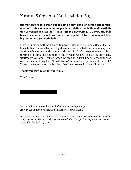**the military's radar screen and it's not on our television screen but government officials and media messages do not define the limits and possibilities of conscience. We do." That's rather empowering. It throws the ball back to us and it reminds us that we are capable of free thinking and taking action. Are you optimistic?**

I like to quote something I heard Eduardo Galeano at the World Social Forum in early 2001. He recalled walking down a street of a Latin American city and written in big letters on the wall was the graffiti "Let's save pessimism for better times." I think that's quite relevant to where we are. There's the statement written by Antonio Gramsci when he was in prison under Mussolini that translates something like: "Pessimism of the intellect, optimism of the will." Those are, so to speak, the two legs that I feel we need to be walking on.

### **Thank you very much for your time.**

Thank you.

*Norman Solomon can be emailed at mediabeat@igc.org. Adrian Zupp can be reached at adrianz59@yahoo.com.* 

*Norman Solomon's new book, "War Made Easy: How Presidents and Pundits Keep Spinning Us to Death," is now available. For further information go to www.WarMadeEasy.com*